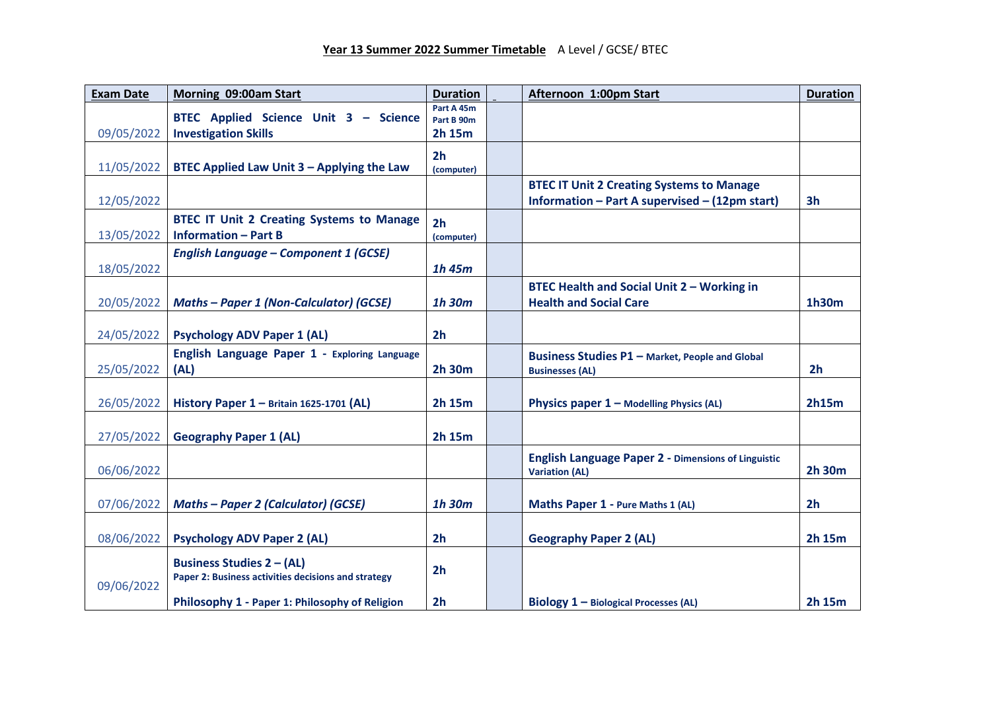| <b>Exam Date</b> | Morning 09:00am Start                                                                   | <b>Duration</b>          | Afternoon 1:00pm Start                                     | <b>Duration</b> |
|------------------|-----------------------------------------------------------------------------------------|--------------------------|------------------------------------------------------------|-----------------|
|                  | BTEC Applied Science Unit 3 - Science                                                   | Part A 45m<br>Part B 90m |                                                            |                 |
| 09/05/2022       | <b>Investigation Skills</b>                                                             | 2h 15m                   |                                                            |                 |
|                  |                                                                                         | 2 <sub>h</sub>           |                                                            |                 |
| 11/05/2022       | BTEC Applied Law Unit 3 - Applying the Law                                              | (computer)               |                                                            |                 |
|                  |                                                                                         |                          | <b>BTEC IT Unit 2 Creating Systems to Manage</b>           |                 |
| 12/05/2022       |                                                                                         |                          | Information - Part A supervised - (12pm start)             | 3 <sub>h</sub>  |
|                  | <b>BTEC IT Unit 2 Creating Systems to Manage</b>                                        | 2 <sub>h</sub>           |                                                            |                 |
| 13/05/2022       | <b>Information - Part B</b>                                                             | (computer)               |                                                            |                 |
|                  | <b>English Language - Component 1 (GCSE)</b>                                            |                          |                                                            |                 |
| 18/05/2022       |                                                                                         | $1h$ 45 $m$              |                                                            |                 |
|                  |                                                                                         |                          | <b>BTEC Health and Social Unit 2 - Working in</b>          |                 |
| 20/05/2022       | <b>Maths - Paper 1 (Non-Calculator) (GCSE)</b>                                          | 1h 30m                   | <b>Health and Social Care</b>                              | 1h30m           |
| 24/05/2022       | <b>Psychology ADV Paper 1 (AL)</b>                                                      | 2 <sub>h</sub>           |                                                            |                 |
|                  |                                                                                         |                          |                                                            |                 |
| 25/05/2022       | English Language Paper 1 - Exploring Language<br>(AL)                                   | 2h 30m                   | <b>Business Studies P1 - Market, People and Global</b>     | 2 <sub>h</sub>  |
|                  |                                                                                         |                          | <b>Businesses (AL)</b>                                     |                 |
| 26/05/2022       | History Paper 1 - Britain 1625-1701 (AL)                                                | 2h 15m                   | Physics paper $1 -$ Modelling Physics (AL)                 | 2h15m           |
|                  |                                                                                         |                          |                                                            |                 |
| 27/05/2022       | <b>Geography Paper 1 (AL)</b>                                                           | 2h 15m                   |                                                            |                 |
|                  |                                                                                         |                          | <b>English Language Paper 2 - Dimensions of Linguistic</b> |                 |
| 06/06/2022       |                                                                                         |                          | <b>Variation (AL)</b>                                      | 2h 30m          |
|                  |                                                                                         |                          |                                                            |                 |
| 07/06/2022       | <b>Maths - Paper 2 (Calculator) (GCSE)</b>                                              | 1h 30m                   | Maths Paper 1 - Pure Maths 1 (AL)                          | 2 <sub>h</sub>  |
|                  |                                                                                         |                          |                                                            |                 |
| 08/06/2022       | <b>Psychology ADV Paper 2 (AL)</b>                                                      | 2 <sub>h</sub>           | <b>Geography Paper 2 (AL)</b>                              | 2h 15m          |
| 09/06/2022       | <b>Business Studies 2 - (AL)</b><br>Paper 2: Business activities decisions and strategy | 2 <sub>h</sub>           |                                                            |                 |
|                  | Philosophy 1 - Paper 1: Philosophy of Religion                                          | 2 <sub>h</sub>           | Biology 1 - Biological Processes (AL)                      | 2h 15m          |